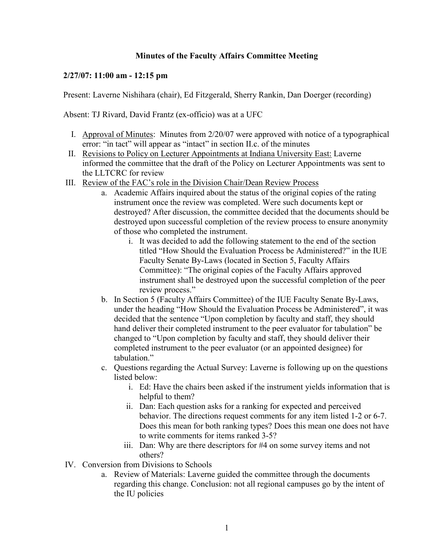## **Minutes of the Faculty Affairs Committee Meeting**

## **2/27/07: 11:00 am - 12:15 pm**

Present: Laverne Nishihara (chair), Ed Fitzgerald, Sherry Rankin, Dan Doerger (recording)

Absent: TJ Rivard, David Frantz (ex-officio) was at a UFC

- I. Approval of Minutes: Minutes from 2/20/07 were approved with notice of a typographical error: "in tact" will appear as "intact" in section II.c. of the minutes
- II. Revisions to Policy on Lecturer Appointments at Indiana University East: Laverne informed the committee that the draft of the Policy on Lecturer Appointments was sent to the LLTCRC for review
- III. Review of the FAC's role in the Division Chair/Dean Review Process
	- a. Academic Affairs inquired about the status of the original copies of the rating instrument once the review was completed. Were such documents kept or destroyed? After discussion, the committee decided that the documents should be destroyed upon successful completion of the review process to ensure anonymity of those who completed the instrument.
		- i. It was decided to add the following statement to the end of the section titled "How Should the Evaluation Process be Administered?" in the IUE Faculty Senate By-Laws (located in Section 5, Faculty Affairs Committee): "The original copies of the Faculty Affairs approved instrument shall be destroyed upon the successful completion of the peer review process."
	- b. In Section 5 (Faculty Affairs Committee) of the IUE Faculty Senate By-Laws, under the heading "How Should the Evaluation Process be Administered", it was decided that the sentence "Upon completion by faculty and staff, they should hand deliver their completed instrument to the peer evaluator for tabulation" be changed to "Upon completion by faculty and staff, they should deliver their completed instrument to the peer evaluator (or an appointed designee) for tabulation."
	- c. Questions regarding the Actual Survey: Laverne is following up on the questions listed below:
		- i. Ed: Have the chairs been asked if the instrument yields information that is helpful to them?
		- ii. Dan: Each question asks for a ranking for expected and perceived behavior. The directions request comments for any item listed 1-2 or 6-7. Does this mean for both ranking types? Does this mean one does not have to write comments for items ranked 3-5?
		- iii. Dan: Why are there descriptors for #4 on some survey items and not others?
- IV. Conversion from Divisions to Schools
	- a. Review of Materials: Laverne guided the committee through the documents regarding this change. Conclusion: not all regional campuses go by the intent of the IU policies